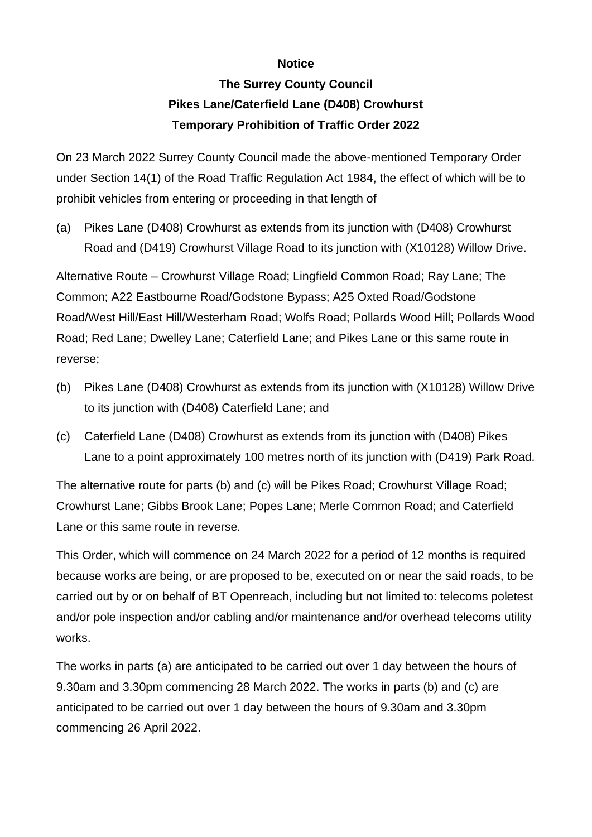## **Notice**

## **The Surrey County Council Pikes Lane/Caterfield Lane (D408) Crowhurst Temporary Prohibition of Traffic Order 2022**

On 23 March 2022 Surrey County Council made the above-mentioned Temporary Order under Section 14(1) of the Road Traffic Regulation Act 1984, the effect of which will be to prohibit vehicles from entering or proceeding in that length of

(a) Pikes Lane (D408) Crowhurst as extends from its junction with (D408) Crowhurst Road and (D419) Crowhurst Village Road to its junction with (X10128) Willow Drive.

Alternative Route – Crowhurst Village Road; Lingfield Common Road; Ray Lane; The Common; A22 Eastbourne Road/Godstone Bypass; A25 Oxted Road/Godstone Road/West Hill/East Hill/Westerham Road; Wolfs Road; Pollards Wood Hill; Pollards Wood Road; Red Lane; Dwelley Lane; Caterfield Lane; and Pikes Lane or this same route in reverse;

- (b) Pikes Lane (D408) Crowhurst as extends from its junction with (X10128) Willow Drive to its junction with (D408) Caterfield Lane; and
- (c) Caterfield Lane (D408) Crowhurst as extends from its junction with (D408) Pikes Lane to a point approximately 100 metres north of its junction with (D419) Park Road.

The alternative route for parts (b) and (c) will be Pikes Road; Crowhurst Village Road; Crowhurst Lane; Gibbs Brook Lane; Popes Lane; Merle Common Road; and Caterfield Lane or this same route in reverse.

This Order, which will commence on 24 March 2022 for a period of 12 months is required because works are being, or are proposed to be, executed on or near the said roads, to be carried out by or on behalf of BT Openreach, including but not limited to: telecoms poletest and/or pole inspection and/or cabling and/or maintenance and/or overhead telecoms utility works.

The works in parts (a) are anticipated to be carried out over 1 day between the hours of 9.30am and 3.30pm commencing 28 March 2022. The works in parts (b) and (c) are anticipated to be carried out over 1 day between the hours of 9.30am and 3.30pm commencing 26 April 2022.